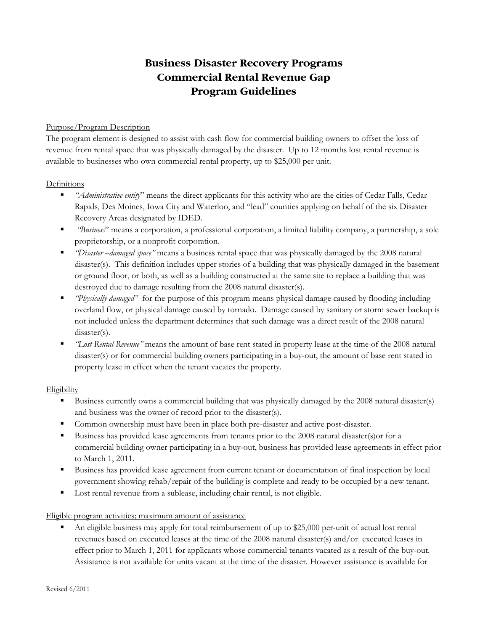# **Business Disaster Recovery Programs Commercial Rental Revenue Gap Program Guidelines**

### Purpose/Program Description

The program element is designed to assist with cash flow for commercial building owners to offset the loss of revenue from rental space that was physically damaged by the disaster. Up to 12 months lost rental revenue is available to businesses who own commercial rental property, up to \$25,000 per unit.

#### Definitions

- *"Administrative entity*" means the direct applicants for this activity who are the cities of Cedar Falls, Cedar Rapids, Des Moines, Iowa City and Waterloo, and "lead" counties applying on behalf of the six Disaster Recovery Areas designated by IDED.
- *"Business*" means a corporation, a professional corporation, a limited liability company, a partnership, a sole proprietorship, or a nonprofit corporation.
- *"Disaster –damaged space"* means a business rental space that was physically damaged by the 2008 natural disaster(s). This definition includes upper stories of a building that was physically damaged in the basement or ground floor, or both, as well as a building constructed at the same site to replace a building that was destroyed due to damage resulting from the 2008 natural disaster(s).
- *"Physically damaged"* for the purpose of this program means physical damage caused by flooding including overland flow, or physical damage caused by tornado. Damage caused by sanitary or storm sewer backup is not included unless the department determines that such damage was a direct result of the 2008 natural disaster(s).
- *"Lost Rental Revenue"* means the amount of base rent stated in property lease at the time of the 2008 natural disaster(s) or for commercial building owners participating in a buy-out, the amount of base rent stated in property lease in effect when the tenant vacates the property.

## Eligibility

- Business currently owns a commercial building that was physically damaged by the 2008 natural disaster(s) and business was the owner of record prior to the disaster(s).
- Common ownership must have been in place both pre-disaster and active post-disaster.
- Business has provided lease agreements from tenants prior to the 2008 natural disaster(s) or for a commercial building owner participating in a buy-out, business has provided lease agreements in effect prior to March 1, 2011.
- Business has provided lease agreement from current tenant or documentation of final inspection by local government showing rehab/repair of the building is complete and ready to be occupied by a new tenant.
- Lost rental revenue from a sublease, including chair rental, is not eligible.

## Eligible program activities; maximum amount of assistance

 An eligible business may apply for total reimbursement of up to \$25,000 per-unit of actual lost rental revenues based on executed leases at the time of the 2008 natural disaster(s) and/or executed leases in effect prior to March 1, 2011 for applicants whose commercial tenants vacated as a result of the buy-out. Assistance is not available for units vacant at the time of the disaster. However assistance is available for